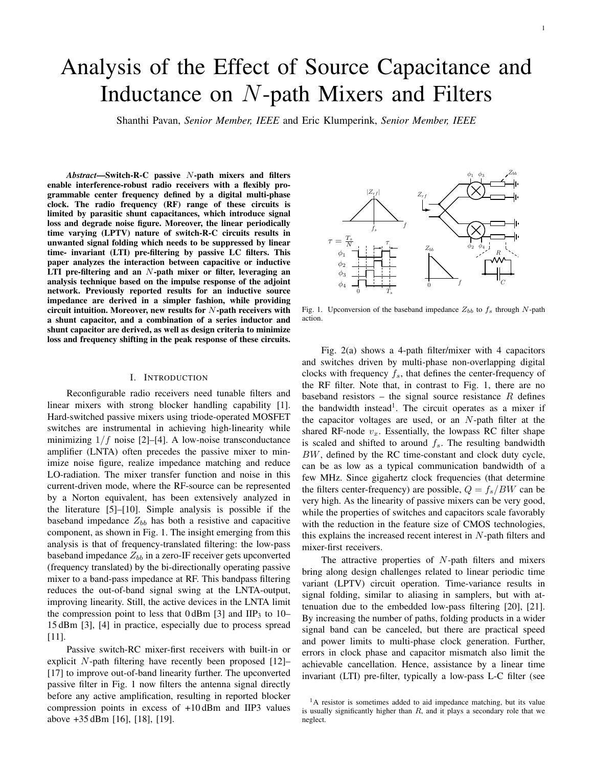# Analysis of the Effect of Source Capacitance and Inductance on N-path Mixers and Filters

Shanthi Pavan, *Senior Member, IEEE* and Eric Klumperink, *Senior Member, IEEE*

*Abstract*—Switch-R-C passive N-path mixers and filters enable interference-robust radio receivers with a flexibly programmable center frequency defined by a digital multi-phase clock. The radio frequency (RF) range of these circuits is limited by parasitic shunt capacitances, which introduce signal loss and degrade noise figure. Moreover, the linear periodically time varying (LPTV) nature of switch-R-C circuits results in unwanted signal folding which needs to be suppressed by linear time- invariant (LTI) pre-filtering by passive LC filters. This paper analyzes the interaction between capacitive or inductive LTI pre-filtering and an  $N$ -path mixer or filter, leveraging an analysis technique based on the impulse response of the adjoint network. Previously reported results for an inductive source impedance are derived in a simpler fashion, while providing circuit intuition. Moreover, new results for  $N$ -path receivers with a shunt capacitor, and a combination of a series inductor and shunt capacitor are derived, as well as design criteria to minimize loss and frequency shifting in the peak response of these circuits.

#### I. INTRODUCTION

Reconfigurable radio receivers need tunable filters and linear mixers with strong blocker handling capability [1]. Hard-switched passive mixers using triode-operated MOSFET switches are instrumental in achieving high-linearity while minimizing  $1/f$  noise [2]–[4]. A low-noise transconductance amplifier (LNTA) often precedes the passive mixer to minimize noise figure, realize impedance matching and reduce LO-radiation. The mixer transfer function and noise in this current-driven mode, where the RF-source can be represented by a Norton equivalent, has been extensively analyzed in the literature [5]–[10]. Simple analysis is possible if the baseband impedance  $Z_{bb}$  has both a resistive and capacitive component, as shown in Fig. 1. The insight emerging from this analysis is that of frequency-translated filtering: the low-pass baseband impedance  $Z_{bb}$  in a zero-IF receiver gets upconverted (frequency translated) by the bi-directionally operating passive mixer to a band-pass impedance at RF. This bandpass filtering reduces the out-of-band signal swing at the LNTA-output, improving linearity. Still, the active devices in the LNTA limit the compression point to less that  $0 dBm$  [3] and IIP<sub>3</sub> to 10– 15 dBm [3], [4] in practice, especially due to process spread [11].

Passive switch-RC mixer-first receivers with built-in or explicit N-path filtering have recently been proposed [12]– [17] to improve out-of-band linearity further. The upconverted passive filter in Fig. 1 now filters the antenna signal directly before any active amplification, resulting in reported blocker compression points in excess of +10 dBm and IIP3 values above +35 dBm [16], [18], [19].



Fig. 1. Upconversion of the baseband impedance  $Z_{bb}$  to  $f_s$  through N-path action.

Fig. 2(a) shows a 4-path filter/mixer with 4 capacitors and switches driven by multi-phase non-overlapping digital clocks with frequency  $f_s$ , that defines the center-frequency of the RF filter. Note that, in contrast to Fig. 1, there are no baseband resistors – the signal source resistance  $R$  defines the bandwidth instead<sup>1</sup>. The circuit operates as a mixer if the capacitor voltages are used, or an  $N$ -path filter at the shared RF-node  $v_x$ . Essentially, the lowpass RC filter shape is scaled and shifted to around  $f_s$ . The resulting bandwidth BW, defined by the RC time-constant and clock duty cycle, can be as low as a typical communication bandwidth of a few MHz. Since gigahertz clock frequencies (that determine the filters center-frequency) are possible,  $Q = f_s/BW$  can be very high. As the linearity of passive mixers can be very good, while the properties of switches and capacitors scale favorably with the reduction in the feature size of CMOS technologies, this explains the increased recent interest in  $N$ -path filters and mixer-first receivers.

The attractive properties of  $N$ -path filters and mixers bring along design challenges related to linear periodic time variant (LPTV) circuit operation. Time-variance results in signal folding, similar to aliasing in samplers, but with attenuation due to the embedded low-pass filtering [20], [21]. By increasing the number of paths, folding products in a wider signal band can be canceled, but there are practical speed and power limits to multi-phase clock generation. Further, errors in clock phase and capacitor mismatch also limit the achievable cancellation. Hence, assistance by a linear time invariant (LTI) pre-filter, typically a low-pass L-C filter (see

<sup>&</sup>lt;sup>1</sup>A resistor is sometimes added to aid impedance matching, but its value is usually significantly higher than  $R$ , and it plays a secondary role that we neglect.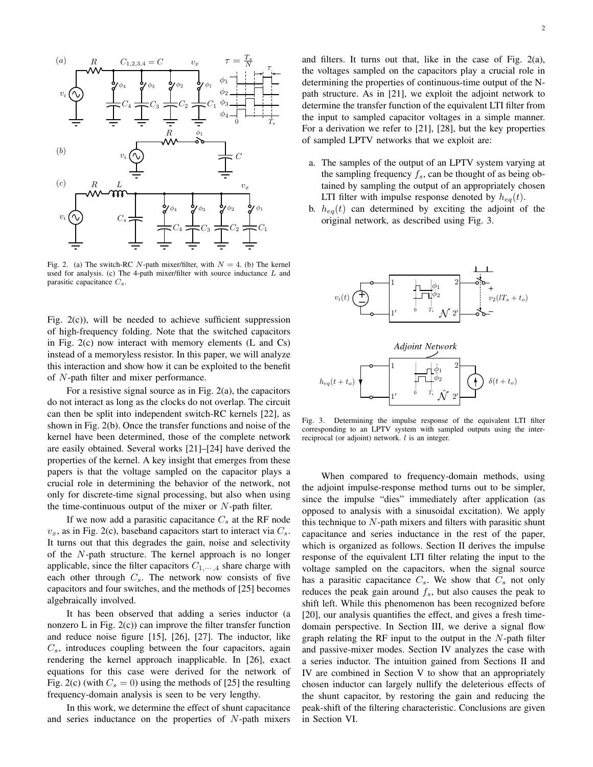

Fig. 2. (a) The switch-RC N-path mixer/filter, with  $N = 4$ . (b) The kernel used for analysis. (c) The 4-path mixer/filter with source inductance  $L$  and parasitic capacitance  $C_s$ .

Fig. 2(c)), will be needed to achieve sufficient suppression of high-frequency folding. Note that the switched capacitors in Fig. 2(c) now interact with memory elements (L and Cs) instead of a memoryless resistor. In this paper, we will analyze this interaction and show how it can be exploited to the benefit of N-path filter and mixer performance.

For a resistive signal source as in Fig. 2(a), the capacitors do not interact as long as the clocks do not overlap. The circuit can then be split into independent switch-RC kernels [22], as shown in Fig. 2(b). Once the transfer functions and noise of the kernel have been determined, those of the complete network are easily obtained. Several works [21]–[24] have derived the properties of the kernel. A key insight that emerges from these papers is that the voltage sampled on the capacitor plays a crucial role in determining the behavior of the network, not only for discrete-time signal processing, but also when using the time-continuous output of the mixer or  $N$ -path filter.

If we now add a parasitic capacitance  $C_s$  at the RF node  $v_x$ , as in Fig. 2(c), baseband capacitors start to interact via  $C_s$ . It turns out that this degrades the gain, noise and selectivity of the N-path structure. The kernel approach is no longer applicable, since the filter capacitors  $C_{1,\cdots,4}$  share charge with each other through  $C_s$ . The network now consists of five capacitors and four switches, and the methods of [25] becomes algebraically involved.

It has been observed that adding a series inductor (a nonzero L in Fig.  $2(c)$  can improve the filter transfer function and reduce noise figure [15], [26], [27]. The inductor, like  $C_s$ , introduces coupling between the four capacitors, again rendering the kernel approach inapplicable. In [26], exact equations for this case were derived for the network of Fig. 2(c) (with  $C_s = 0$ ) using the methods of [25] the resulting frequency-domain analysis is seen to be very lengthy.

In this work, we determine the effect of shunt capacitance and series inductance on the properties of N-path mixers

and filters. It turns out that, like in the case of Fig. 2(a), the voltages sampled on the capacitors play a crucial role in determining the properties of continuous-time output of the Npath structure. As in [21], we exploit the adjoint network to determine the transfer function of the equivalent LTI filter from the input to sampled capacitor voltages in a simple manner. For a derivation we refer to [21], [28], but the key properties of sampled LPTV networks that we exploit are:

- a. The samples of the output of an LPTV system varying at the sampling frequency  $f_s$ , can be thought of as being obtained by sampling the output of an appropriately chosen LTI filter with impulse response denoted by  $h_{eq}(t)$ .
- b.  $h_{eq}(t)$  can determined by exciting the adjoint of the original network, as described using Fig. 3.



Fig. 3. Determining the impulse response of the equivalent LTI filter corresponding to an LPTV system with sampled outputs using the interreciprocal (or adjoint) network. l is an integer.

When compared to frequency-domain methods, using the adjoint impulse-response method turns out to be simpler, since the impulse "dies" immediately after application (as opposed to analysis with a sinusoidal excitation). We apply this technique to  $N$ -path mixers and filters with parasitic shunt capacitance and series inductance in the rest of the paper, which is organized as follows. Section II derives the impulse response of the equivalent LTI filter relating the input to the voltage sampled on the capacitors, when the signal source has a parasitic capacitance  $C_s$ . We show that  $C_s$  not only reduces the peak gain around  $f_s$ , but also causes the peak to shift left. While this phenomenon has been recognized before [20], our analysis quantifies the effect, and gives a fresh timedomain perspective. In Section III, we derive a signal flow graph relating the RF input to the output in the  $N$ -path filter and passive-mixer modes. Section IV analyzes the case with a series inductor. The intuition gained from Sections II and IV are combined in Section V to show that an appropriately chosen inductor can largely nullify the deleterious effects of the shunt capacitor, by restoring the gain and reducing the peak-shift of the filtering characteristic. Conclusions are given in Section VI.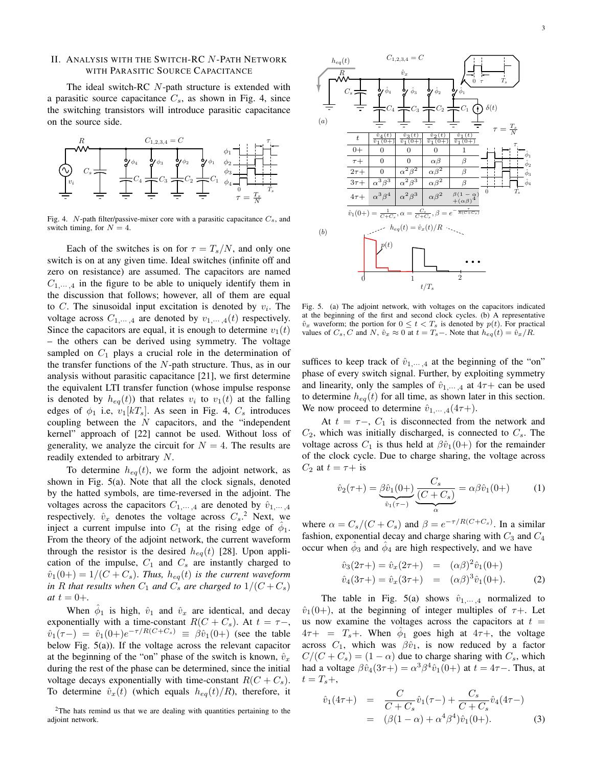# II. ANALYSIS WITH THE SWITCH-RC N-PATH NETWORK WITH PARASITIC SOURCE CAPACITANCE

The ideal switch-RC N-path structure is extended with a parasitic source capacitance  $C_s$ , as shown in Fig. 4, since the switching transistors will introduce parasitic capacitance on the source side.



Fig. 4. N-path filter/passive-mixer core with a parasitic capacitance  $C_s$ , and switch timing, for  $N = 4$ .

Each of the switches is on for  $\tau = T_s/N$ , and only one switch is on at any given time. Ideal switches (infinite off and zero on resistance) are assumed. The capacitors are named  $C_{1,\dots,4}$  in the figure to be able to uniquely identify them in the discussion that follows; however, all of them are equal to C. The sinusoidal input excitation is denoted by  $v_i$ . The voltage across  $C_1, \ldots, A$  are denoted by  $v_1, \ldots, a(t)$  respectively. Since the capacitors are equal, it is enough to determine  $v_1(t)$ – the others can be derived using symmetry. The voltage sampled on  $C_1$  plays a crucial role in the determination of the transfer functions of the  $N$ -path structure. Thus, as in our analysis without parasitic capacitance [21], we first determine the equivalent LTI transfer function (whose impulse response is denoted by  $h_{eq}(t)$  that relates  $v_i$  to  $v_1(t)$  at the falling edges of  $\phi_1$  i.e,  $v_1[kT_s]$ . As seen in Fig. 4,  $C_s$  introduces coupling between the  $N$  capacitors, and the "independent kernel" approach of [22] cannot be used. Without loss of generality, we analyze the circuit for  $N = 4$ . The results are readily extended to arbitrary N.

To determine  $h_{eq}(t)$ , we form the adjoint network, as shown in Fig. 5(a). Note that all the clock signals, denoted by the hatted symbols, are time-reversed in the adjoint. The voltages across the capacitors  $C_{1,\cdots,4}$  are denoted by  $\hat{v}_{1,\cdots,4}$ respectively.  $\hat{v}_x$  denotes the voltage across  $C_s$ .<sup>2</sup> Next, we inject a current impulse into  $C_1$  at the rising edge of  $\hat{\phi}_1$ . From the theory of the adjoint network, the current waveform through the resistor is the desired  $h_{eq}(t)$  [28]. Upon application of the impulse,  $C_1$  and  $C_s$  are instantly charged to  $\hat{v}_1(0+) = 1/(C+C_s)$ . *Thus,*  $h_{eq}(t)$  *is the current waveform in* R that results when  $C_1$  and  $C_s$  are charged to  $1/(C+C_s)$ *at*  $t = 0 +$ .

When  $\hat{\phi}_1$  is high,  $\hat{v}_1$  and  $\hat{v}_x$  are identical, and decay exponentially with a time-constant  $R(C + C_s)$ . At  $t = \tau -$ ,  $\hat{v}_1(\tau-) = \hat{v}_1(0+)e^{-\tau/R(C+C_s)} \equiv \beta \hat{v}_1(0+)$  (see the table below Fig. 5(a)). If the voltage across the relevant capacitor at the beginning of the "on" phase of the switch is known,  $\hat{v}_x$ during the rest of the phase can be determined, since the initial voltage decays exponentially with time-constant  $R(C+C_s)$ . To determine  $\hat{v}_x(t)$  (which equals  $h_{eq}(t)/R$ ), therefore, it



Fig. 5. (a) The adjoint network, with voltages on the capacitors indicated at the beginning of the first and second clock cycles. (b) A representative  $\hat{v}_x$  waveform; the portion for  $0 \le t < T_s$  is denoted by  $p(t)$ . For practical values of  $C_s$ , C and N,  $\hat{v}_x \approx 0$  at  $t = T_s -$ . Note that  $h_{eq}(t) = \hat{v}_x / R$ .

suffices to keep track of  $\hat{v}_{1,\dots,4}$  at the beginning of the "on" phase of every switch signal. Further, by exploiting symmetry and linearity, only the samples of  $\hat{v}_1, \dots, 4$  at  $4\tau +$  can be used to determine  $h_{eq}(t)$  for all time, as shown later in this section. We now proceed to determine  $\hat{v}_{1,\dots,4}(4\tau+)$ .

At  $t = \tau -$ ,  $C_1$  is disconnected from the network and  $C_2$ , which was initially discharged, is connected to  $C_s$ . The voltage across  $C_1$  is thus held at  $\beta \hat{v}_1(0+)$  for the remainder of the clock cycle. Due to charge sharing, the voltage across  $C_2$  at  $t = \tau + i$ s

$$
\hat{v}_2(\tau+) = \underbrace{\beta \hat{v}_1(0+)}_{\hat{v}_1(\tau-)} \underbrace{\frac{C_s}{(C+C_s)}}_{\alpha} = \alpha \beta \hat{v}_1(0+) \tag{1}
$$

where  $\alpha = C_s / (C + C_s)$  and  $\beta = e^{-\tau / R(C + C_s)}$ . In a similar fashion, exponential decay and charge sharing with  $C_3$  and  $C_4$ occur when  $\hat{\phi}_3$  and  $\hat{\phi}_4$  are high respectively, and we have

$$
\hat{v}_3(2\tau+) = \hat{v}_x(2\tau+) = (\alpha \beta)^2 \hat{v}_1(0+)
$$
  
\n
$$
\hat{v}_4(3\tau+) = \hat{v}_x(3\tau+) = (\alpha \beta)^3 \hat{v}_1(0+).
$$
 (2)

The table in Fig. 5(a) shows  $\hat{v}_{1,\dots,4}$  normalized to  $\hat{v}_1(0+)$ , at the beginning of integer multiples of  $\tau$ +. Let us now examine the voltages across the capacitors at  $t =$  $4\tau + \tau = T_s +$ . When  $\hat{\phi}_1$  goes high at  $4\tau +$ , the voltage across  $C_1$ , which was  $\beta \hat{v}_1$ , is now reduced by a factor  $C/(C+C<sub>s</sub>) = (1-\alpha)$  due to charge sharing with  $C<sub>s</sub>$ , which had a voltage  $\beta \hat{v}_4(3\tau+) = \alpha^3 \beta^4 \hat{v}_1(0+)$  at  $t = 4\tau$ -. Thus, at  $t = T_s +$ ,

$$
\hat{v}_1(4\tau+) = \frac{C}{C+C_s}\hat{v}_1(\tau-) + \frac{C_s}{C+C_s}\hat{v}_4(4\tau-)
$$
  
= 
$$
(\beta(1-\alpha) + \alpha^4\beta^4)\hat{v}_1(0+).
$$
 (3)

<sup>&</sup>lt;sup>2</sup>The hats remind us that we are dealing with quantities pertaining to the adjoint network.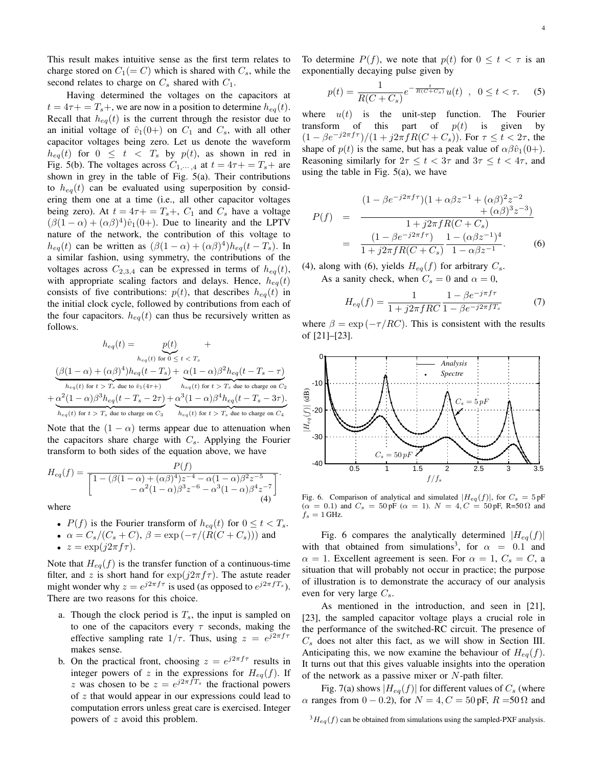This result makes intuitive sense as the first term relates to charge stored on  $C_1(= C)$  which is shared with  $C_s$ , while the second relates to charge on  $C_s$  shared with  $C_1$ .

Having determined the voltages on the capacitors at  $t = 4\tau + T_s +$ , we are now in a position to determine  $h_{eq}(t)$ . Recall that  $h_{eq}(t)$  is the current through the resistor due to an initial voltage of  $\hat{v}_1(0+)$  on  $C_1$  and  $C_s$ , with all other capacitor voltages being zero. Let us denote the waveform  $h_{eq}(t)$  for  $0 \leq t < T_s$  by  $p(t)$ , as shown in red in Fig. 5(b). The voltages across  $C_{1,\cdots,4}$  at  $t = 4\tau + T_s +$  are shown in grey in the table of Fig. 5(a). Their contributions to  $h_{eq}(t)$  can be evaluated using superposition by considering them one at a time (i.e., all other capacitor voltages being zero). At  $t = 4\tau + T_s + C_1$  and  $C_s$  have a voltage  $(\beta(1-\alpha) + (\alpha\beta)^4)\hat{v}_1(0+)$ . Due to linearity and the LPTV nature of the network, the contribution of this voltage to  $h_{eq}(t)$  can be written as  $(\beta(1-\alpha) + (\alpha\beta)^4)h_{eq}(t-T_s)$ . In a similar fashion, using symmetry, the contributions of the voltages across  $C_{2,3,4}$  can be expressed in terms of  $h_{eq}(t)$ , with appropriate scaling factors and delays. Hence,  $h_{eq}(t)$ consists of five contributions:  $p(t)$ , that describes  $h_{eq}(t)$  in the initial clock cycle, followed by contributions from each of the four capacitors.  $h_{eq}(t)$  can thus be recursively written as follows.

$$
h_{eq}(t) = \underbrace{p(t)}_{h_{eq}(t) \text{ for } 0 \leq t < T_s}
$$
\n
$$
\underbrace{(\beta(1-\alpha) + (\alpha\beta)^4)h_{eq}(t - T_s) + \alpha(1-\alpha)\beta^2h_{eq}(t - T_s - \tau)}_{h_{eq}(t) \text{ for } t > T_s \text{ due to } \hat{v}_1(4\tau+)} + \underbrace{\alpha(1-\alpha)\beta^2h_{eq}(t - T_s - \tau)}_{h_{eq}(t) \text{ for } t > T_s \text{ due to charge on } C_2}
$$
\n
$$
+\underbrace{\alpha^2(1-\alpha)\beta^3h_{eq}(t - T_s - 2\tau)}_{h_{eq}(t) \text{ for } t > T_s \text{ due to charge on } C_3} + \underbrace{\alpha^3(1-\alpha)\beta^4h_{eq}(t - T_s - 3\tau)}_{h_{eq}(t) \text{ for } t > T_s \text{ due to charge on } C_4}
$$

Note that the  $(1 - \alpha)$  terms appear due to attenuation when the capacitors share charge with  $C_s$ . Applying the Fourier transform to both sides of the equation above, we have

$$
H_{eq}(f) = \frac{P(f)}{\left[1 - (\beta(1-\alpha) + (\alpha\beta)^4)z^{-4} - \alpha(1-\alpha)\beta^2z^{-5} - \alpha^2(1-\alpha)\beta^3z^{-6} - \alpha^3(1-\alpha)\beta^4z^{-7}\right]}.
$$

where

• 
$$
P(f)
$$
 is the Fourier transform of  $h_{eq}(t)$  for  $0 \le t < T_s$ .

- $\alpha = C_s/(C_s + C), \beta = \exp(-\tau/(\hat{R}(C + C_s)))$  and
- $z = \exp(i2\pi f \tau)$ .

Note that  $H_{eq}(f)$  is the transfer function of a continuous-time filter, and z is short hand for  $\exp(j2\pi f\tau)$ . The astute reader might wonder why  $z = e^{j2\pi f \tau}$  is used (as opposed to  $e^{j2\pi f T_s}$ ). There are two reasons for this choice.

- a. Though the clock period is  $T_s$ , the input is sampled on to one of the capacitors every  $\tau$  seconds, making the effective sampling rate  $1/\tau$ . Thus, using  $z = e^{j2\pi f \tau}$ makes sense.
- b. On the practical front, choosing  $z = e^{j2\pi f \tau}$  results in integer powers of z in the expressions for  $H_{eq}(f)$ . If z was chosen to be  $z = e^{j2\pi fT_s}$  the fractional powers of z that would appear in our expressions could lead to computation errors unless great care is exercised. Integer powers of z avoid this problem.

To determine  $P(f)$ , we note that  $p(t)$  for  $0 \le t < \tau$  is an exponentially decaying pulse given by

$$
p(t) = \frac{1}{R(C+C_s)} e^{-\frac{t}{R(C+C_s)}} u(t) \quad , \quad 0 \le t < \tau. \tag{5}
$$

where  $u(t)$  is the unit-step function. The Fourier transform of this part of  $p(t)$  is given by  $(1 - \beta e^{-j2\pi f\tau})/(1 + j2\pi fR(C + C_s))$ . For  $\tau \le t < 2\tau$ , the shape of  $p(t)$  is the same, but has a peak value of  $\alpha\beta\hat{v}_1(0+)$ . Reasoning similarly for  $2\tau \leq t < 3\tau$  and  $3\tau \leq t < 4\tau$ , and using the table in Fig.  $5(a)$ , we have

$$
P(f) = \frac{(1 - \beta e^{-j2\pi f\tau})(1 + \alpha \beta z^{-1} + (\alpha \beta)^2 z^{-2} + (\alpha \beta)^3 z^{-3})}{1 + j2\pi fR(C + C_s)}
$$
  
= 
$$
\frac{(1 - \beta e^{-j2\pi f\tau})}{1 + j2\pi fR(C + C_s)} \frac{1 - (\alpha \beta z^{-1})^4}{1 - \alpha \beta z^{-1}}.
$$
 (6)

(4), along with (6), yields  $H_{eq}(f)$  for arbitrary  $C_s$ .

As a sanity check, when  $C_s = 0$  and  $\alpha = 0$ ,

$$
H_{eq}(f) = \frac{1}{1 + j2\pi fRC} \frac{1 - \beta e^{-j\pi f\tau}}{1 - \beta e^{-j2\pi fT_s}}
$$
(7)

where  $\beta = \exp(-\tau/RC)$ . This is consistent with the results of [21]–[23].



Fig. 6. Comparison of analytical and simulated  $|H_{eq}(f)|$ , for  $C_s = 5 \text{ pF}$  $(\alpha = 0.1)$  and  $C_s = 50 \,\text{pF}$   $(\alpha = 1)$ .  $N = 4, C = 50 \,\text{pF}$ , R=50  $\Omega$  and  $f_s = 1$  GHz.

Fig. 6 compares the analytically determined  $|H_{eq}(f)|$ with that obtained from simulations<sup>3</sup>, for  $\alpha = 0.1$  and  $\alpha = 1$ . Excellent agreement is seen. For  $\alpha = 1, C_s = C$ , a situation that will probably not occur in practice; the purpose of illustration is to demonstrate the accuracy of our analysis even for very large  $C_s$ .

As mentioned in the introduction, and seen in [21], [23], the sampled capacitor voltage plays a crucial role in the performance of the switched-RC circuit. The presence of  $C_s$  does not alter this fact, as we will show in Section III. Anticipating this, we now examine the behaviour of  $H_{eq}(f)$ . It turns out that this gives valuable insights into the operation of the network as a passive mixer or  $N$ -path filter.

Fig. 7(a) shows  $|H_{eq}(f)|$  for different values of  $C_s$  (where  $\alpha$  ranges from 0 – 0.2), for  $N = 4, C = 50 \text{ pF}, R = 50 \Omega$  and

 ${}^{3}He_{q}(f)$  can be obtained from simulations using the sampled-PXF analysis.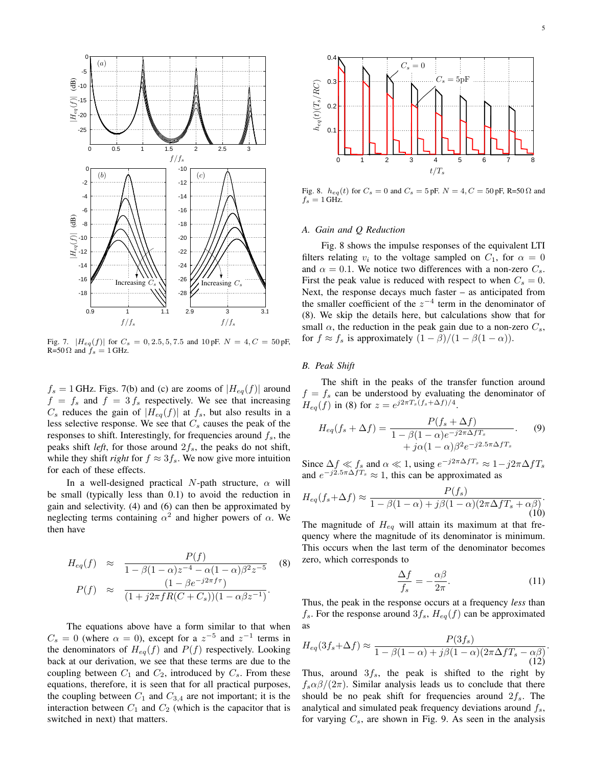

Fig. 7.  $|H_{eq}(f)|$  for  $C_s = 0, 2.5, 5, 7.5$  and  $10 \text{ pF}$ .  $N = 4, C = 50 \text{ pF}$ , R=50  $\Omega$  and  $f_s = 1$  GHz.

 $f_s = 1$  GHz. Figs. 7(b) and (c) are zooms of  $|H_{eq}(f)|$  around  $f = f_s$  and  $f = 3 f_s$  respectively. We see that increasing  $C_s$  reduces the gain of  $|H_{eq}(f)|$  at  $f_s$ , but also results in a less selective response. We see that  $C_s$  causes the peak of the responses to shift. Interestingly, for frequencies around  $f_s$ , the peaks shift *left*, for those around  $2f_s$ , the peaks do not shift, while they shift *right* for  $f \approx 3f_s$ . We now give more intuition for each of these effects.

In a well-designed practical N-path structure,  $\alpha$  will be small (typically less than 0.1) to avoid the reduction in gain and selectivity. (4) and (6) can then be approximated by neglecting terms containing  $\alpha^2$  and higher powers of  $\alpha$ . We then have

$$
H_{eq}(f) \approx \frac{P(f)}{1 - \beta(1 - \alpha)z^{-4} - \alpha(1 - \alpha)\beta^{2}z^{-5}}
$$
(8)  

$$
P(f) \approx \frac{(1 - \beta e^{-j2\pi f\tau})}{(1 + j2\pi fR(C + C_{s}))(1 - \alpha\beta z^{-1})}.
$$

The equations above have a form similar to that when  $C_s = 0$  (where  $\alpha = 0$ ), except for a  $z^{-5}$  and  $z^{-1}$  terms in the denominators of  $H_{eq}(f)$  and  $P(f)$  respectively. Looking back at our derivation, we see that these terms are due to the coupling between  $C_1$  and  $C_2$ , introduced by  $C_s$ . From these equations, therefore, it is seen that for all practical purposes, the coupling between  $C_1$  and  $C_{3,4}$  are not important; it is the interaction between  $C_1$  and  $C_2$  (which is the capacitor that is switched in next) that matters.



Fig. 8.  $h_{eq}(t)$  for  $C_s = 0$  and  $C_s = 5$  pF.  $N = 4, C = 50$  pF, R=50  $\Omega$  and  $f_s = 1$  GHz.

## *A. Gain and Q Reduction*

Fig. 8 shows the impulse responses of the equivalent LTI filters relating  $v_i$  to the voltage sampled on  $C_1$ , for  $\alpha = 0$ and  $\alpha = 0.1$ . We notice two differences with a non-zero  $C_s$ . First the peak value is reduced with respect to when  $C_s = 0$ . Next, the response decays much faster – as anticipated from the smaller coefficient of the  $z^{-4}$  term in the denominator of (8). We skip the details here, but calculations show that for small  $\alpha$ , the reduction in the peak gain due to a non-zero  $C_s$ , for  $f \approx f_s$  is approximately  $(1 - \beta)/(1 - \beta(1 - \alpha))$ .

## *B. Peak Shift*

The shift in the peaks of the transfer function around  $f = f_s$  can be understood by evaluating the denominator of  $H_{eq}(f)$  in (8) for  $z = e^{j2\pi T_s(f_s + \Delta f)/4}$ .

$$
H_{eq}(f_s + \Delta f) = \frac{P(f_s + \Delta f)}{1 - \beta(1 - \alpha)e^{-j2\pi\Delta fT_s}}.
$$
(9)  
+  $j\alpha(1 - \alpha)\beta^2e^{-j2.5\pi\Delta fT_s}$ 

Since  $\Delta f \ll f_s$  and  $\alpha \ll 1$ , using  $e^{-j2\pi \Delta f T_s} \approx 1 - j2\pi \Delta f T_s$ and  $e^{-j2.5\pi\Delta fT_s} \approx 1$ , this can be approximated as

$$
H_{eq}(f_s + \Delta f) \approx \frac{P(f_s)}{1 - \beta(1 - \alpha) + j\beta(1 - \alpha)(2\pi\Delta f T_s + \alpha\beta)}.
$$
\n(10)

The magnitude of  $H_{eq}$  will attain its maximum at that frequency where the magnitude of its denominator is minimum. This occurs when the last term of the denominator becomes zero, which corresponds to

$$
\frac{\Delta f}{f_s} = -\frac{\alpha \beta}{2\pi}.\tag{11}
$$

.

Thus, the peak in the response occurs at a frequency *less* than  $f_s$ . For the response around  $3f_s$ ,  $H_{eq}(f)$  can be approximated as

$$
H_{eq}(3f_s + \Delta f) \approx \frac{P(3f_s)}{1 - \beta(1 - \alpha) + j\beta(1 - \alpha)(2\pi\Delta fT_s - \alpha\beta)} \tag{12}
$$

Thus, around  $3f_s$ , the peak is shifted to the right by  $f_s \alpha \beta/(2\pi)$ . Similar analysis leads us to conclude that there should be no peak shift for frequencies around  $2f_s$ . The analytical and simulated peak frequency deviations around  $f_s$ , for varying  $C_s$ , are shown in Fig. 9. As seen in the analysis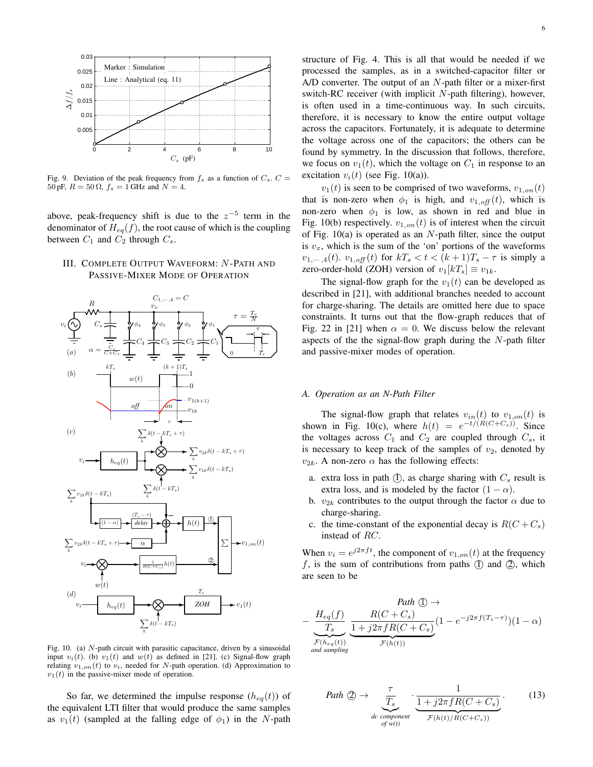

Fig. 9. Deviation of the peak frequency from  $f_s$  as a function of  $C_s$ .  $C =$ 50 pF,  $R = 50 \Omega$ ,  $f_s = 1$  GHz and  $N = 4$ .

above, peak-frequency shift is due to the  $z^{-5}$  term in the denominator of  $H_{eq}(f)$ , the root cause of which is the coupling between  $C_1$  and  $C_2$  through  $C_s$ .

# III. COMPLETE OUTPUT WAVEFORM: N -PATH AND PASSIVE-MIXER MODE OF OPERATION



Fig. 10. (a) N-path circuit with parasitic capacitance, driven by a sinusoidal input  $v_i(t)$ . (b)  $v_1(t)$  and  $w(t)$  as defined in [21]. (c) Signal-flow graph relating  $v_{1,on}(t)$  to  $v_i$ , needed for N-path operation. (d) Approximation to  $v_1(t)$  in the passive-mixer mode of operation.

So far, we determined the impulse response  $(h_{eq}(t))$  of the equivalent LTI filter that would produce the same samples as  $v_1(t)$  (sampled at the falling edge of  $\phi_1$ ) in the N-path structure of Fig. 4. This is all that would be needed if we processed the samples, as in a switched-capacitor filter or A/D converter. The output of an  $N$ -path filter or a mixer-first switch-RC receiver (with implicit  $N$ -path filtering), however, is often used in a time-continuous way. In such circuits, therefore, it is necessary to know the entire output voltage across the capacitors. Fortunately, it is adequate to determine the voltage across one of the capacitors; the others can be found by symmetry. In the discussion that follows, therefore, we focus on  $v_1(t)$ , which the voltage on  $C_1$  in response to an excitation  $v_i(t)$  (see Fig. 10(a)).

 $v_1(t)$  is seen to be comprised of two waveforms,  $v_{1,on}(t)$ that is non-zero when  $\phi_1$  is high, and  $v_{1,off}(t)$ , which is non-zero when  $\phi_1$  is low, as shown in red and blue in Fig. 10(b) respectively.  $v_{1,on}(t)$  is of interest when the circuit of Fig.  $10(a)$  is operated as an N-path filter, since the output is  $v_x$ , which is the sum of the 'on' portions of the waveforms  $v_{1,\dots,4}(t)$ .  $v_{1,\text{off}}(t)$  for  $kT_s < t < (k+1)T_s - \tau$  is simply a zero-order-hold (ZOH) version of  $v_1[kT_s] \equiv v_{1k}$ .

The signal-flow graph for the  $v_1(t)$  can be developed as described in [21], with additional branches needed to account for charge-sharing. The details are omitted here due to space constraints. It turns out that the flow-graph reduces that of Fig. 22 in [21] when  $\alpha = 0$ . We discuss below the relevant aspects of the the signal-flow graph during the  $N$ -path filter and passive-mixer modes of operation.

#### *A. Operation as an N-Path Filter*

The signal-flow graph that relates  $v_{in}(t)$  to  $v_{1,on}(t)$  is shown in Fig. 10(c), where  $h(t) = e^{-t/(R(C+C_s))}$ . Since the voltages across  $C_1$  and  $C_2$  are coupled through  $C_s$ , it is necessary to keep track of the samples of  $v_2$ , denoted by  $v_{2k}$ . A non-zero  $\alpha$  has the following effects:

- a. extra loss in path  $(I)$ , as charge sharing with  $C_s$  result is extra loss, and is modeled by the factor  $(1 - \alpha)$ .
- b.  $v_{2k}$  contributes to the output through the factor  $\alpha$  due to charge-sharing.
- c. the time-constant of the exponential decay is  $R(C+C<sub>s</sub>)$ instead of RC.

When  $v_i = e^{j2\pi ft}$ , the component of  $v_{1,on}(t)$  at the frequency  $f$ , is the sum of contributions from paths  $(1)$  and  $(2)$ , which are seen to be

Path 
$$
\textcircled{1}
$$
  $\rightarrow$   
\n
$$
-\underbrace{\frac{H_{eq}(f)}{T_s}}_{\substack{\mathcal{T}_{s} \\ \mathcal{F}(h_{eq}(t))}} \underbrace{\frac{R(C+C_s)}{1+j2\pi fR(C+C_s)}}_{\mathcal{F}(h(t))} (1-e^{-j2\pi f(T_s-\tau)})(1-\alpha)
$$

Path 
$$
\bigcirc
$$
  $\rightarrow \frac{\tau}{T_s}$   $\frac{1}{\frac{1+j2\pi fR(C+C_s)}{F(h(t)/R(C+C_s))}}$ . (13)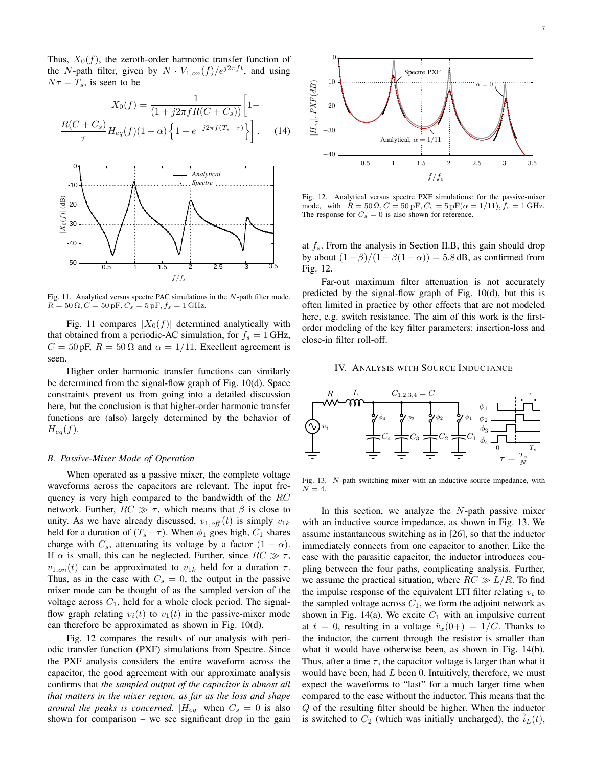Thus,  $X_0(f)$ , the zeroth-order harmonic transfer function of the N-path filter, given by  $N \cdot V_{1,on}(f)/e^{j2\pi ft}$ , and using  $N\tau = T_s$ , is seen to be

$$
X_0(f) = \frac{1}{(1+j2\pi fR(C+C_s))} \left[1 - \frac{R(C+C_s)}{\tau} H_{eq}(f)(1-\alpha) \left\{1 - e^{-j2\pi f(T_s-\tau)}\right\} \right].
$$
 (14)



Fig. 11. Analytical versus spectre PAC simulations in the N-path filter mode.  $R = 50 \Omega, C = 50 \text{ pF}, C_s = 5 \text{ pF}, f_s = 1 \text{ GHz}.$ 

Fig. 11 compares  $|X_0(f)|$  determined analytically with that obtained from a periodic-AC simulation, for  $f_s = 1$  GHz,  $C = 50 \text{ pF}, R = 50 \Omega$  and  $\alpha = 1/11$ . Excellent agreement is seen.

Higher order harmonic transfer functions can similarly be determined from the signal-flow graph of Fig. 10(d). Space constraints prevent us from going into a detailed discussion here, but the conclusion is that higher-order harmonic transfer functions are (also) largely determined by the behavior of  $H_{eq}(f)$ .

### *B. Passive-Mixer Mode of Operation*

When operated as a passive mixer, the complete voltage waveforms across the capacitors are relevant. The input frequency is very high compared to the bandwidth of the  $RC$ network. Further,  $RC \gg \tau$ , which means that  $\beta$  is close to unity. As we have already discussed,  $v_{1,off}(t)$  is simply  $v_{1k}$ held for a duration of  $(T_s - \tau)$ . When  $\phi_1$  goes high,  $C_1$  shares charge with  $C_s$ , attenuating its voltage by a factor  $(1 - \alpha)$ . If  $\alpha$  is small, this can be neglected. Further, since  $RC \gg \tau$ ,  $v_{1,on}(t)$  can be approximated to  $v_{1k}$  held for a duration  $\tau$ . Thus, as in the case with  $C_s = 0$ , the output in the passive mixer mode can be thought of as the sampled version of the voltage across  $C_1$ , held for a whole clock period. The signalflow graph relating  $v_i(t)$  to  $v_1(t)$  in the passive-mixer mode can therefore be approximated as shown in Fig. 10(d).

Fig. 12 compares the results of our analysis with periodic transfer function (PXF) simulations from Spectre. Since the PXF analysis considers the entire waveform across the capacitor, the good agreement with our approximate analysis confirms that *the sampled output of the capacitor is almost all that matters in the mixer region, as far as the loss and shape around the peaks is concerned.*  $|H_{eq}|$  when  $C_s = 0$  is also shown for comparison – we see significant drop in the gain



Fig. 12. Analytical versus spectre PXF simulations: for the passive-mixer mode, with  $R = 50 \Omega, C = 50 \text{ pF}, C_s = 5 \text{ pF}(\alpha = 1/11), f_s = 1 \text{ GHz}.$ The response for  $C_s = 0$  is also shown for reference.

at  $f_s$ . From the analysis in Section II.B, this gain should drop by about  $(1 - \beta)/(1 - \beta(1 - \alpha)) = 5.8$  dB, as confirmed from Fig. 12.

Far-out maximum filter attenuation is not accurately predicted by the signal-flow graph of Fig. 10(d), but this is often limited in practice by other effects that are not modeled here, e.g. switch resistance. The aim of this work is the firstorder modeling of the key filter parameters: insertion-loss and close-in filter roll-off.

### IV. ANALYSIS WITH SOURCE INDUCTANCE



Fig. 13. N-path switching mixer with an inductive source impedance, with  $N = 4$ .

In this section, we analyze the  $N$ -path passive mixer with an inductive source impedance, as shown in Fig. 13. We assume instantaneous switching as in [26], so that the inductor immediately connects from one capacitor to another. Like the case with the parasitic capacitor, the inductor introduces coupling between the four paths, complicating analysis. Further, we assume the practical situation, where  $RC \gg L/R$ . To find the impulse response of the equivalent LTI filter relating  $v_i$  to the sampled voltage across  $C_1$ , we form the adjoint network as shown in Fig. 14(a). We excite  $C_1$  with an impulsive current at  $t = 0$ , resulting in a voltage  $\hat{v}_x(0+) = 1/C$ . Thanks to the inductor, the current through the resistor is smaller than what it would have otherwise been, as shown in Fig. 14(b). Thus, after a time  $\tau$ , the capacitor voltage is larger than what it would have been, had  $L$  been 0. Intuitively, therefore, we must expect the waveforms to "last" for a much larger time when compared to the case without the inductor. This means that the Q of the resulting filter should be higher. When the inductor is switched to  $C_2$  (which was initially uncharged), the  $i_L(t)$ ,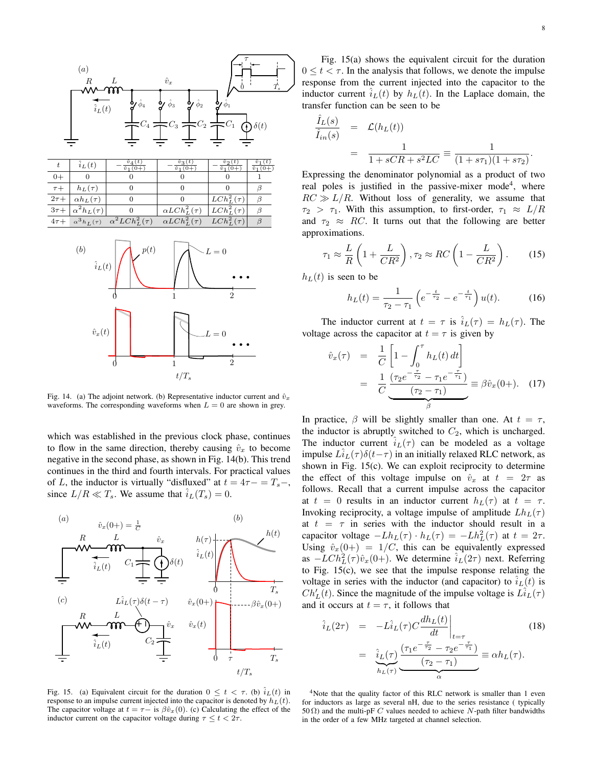



Fig. 14. (a) The adjoint network. (b) Representative inductor current and  $\hat{v}_x$ waveforms. The corresponding waveforms when  $L = 0$  are shown in grey.

which was established in the previous clock phase, continues to flow in the same direction, thereby causing  $\hat{v}_x$  to become negative in the second phase, as shown in Fig. 14(b). This trend continues in the third and fourth intervals. For practical values of L, the inductor is virtually "disfluxed" at  $t = 4\tau - T_s - T_s$ since  $L/R \ll T_s$ . We assume that  $\hat{i}_L(T_s) = 0$ .



Fig. 15. (a) Equivalent circuit for the duration  $0 \le t < \tau$ . (b)  $\hat{i}_L(t)$  in response to an impulse current injected into the capacitor is denoted by  $h_L(t)$ . The capacitor voltage at  $t = \tau - i s \beta \hat{v}_x(0)$ . (c) Calculating the effect of the inductor current on the capacitor voltage during  $\tau \leq t < 2\tau$ .

Fig. 15(a) shows the equivalent circuit for the duration  $0 \le t < \tau$ . In the analysis that follows, we denote the impulse response from the current injected into the capacitor to the inductor current  $i_L(t)$  by  $h_L(t)$ . In the Laplace domain, the transfer function can be seen to be

$$
\frac{\hat{I}_L(s)}{\hat{I}_{in}(s)} = \mathcal{L}(h_L(t))
$$
  
= 
$$
\frac{1}{1 + sCR + s^2 LC} \equiv \frac{1}{(1 + s\tau_1)(1 + s\tau_2)}.
$$

Expressing the denominator polynomial as a product of two real poles is justified in the passive-mixer mode<sup>4</sup>, where  $RC \gg L/R$ . Without loss of generality, we assume that  $\tau_2 > \tau_1$ . With this assumption, to first-order,  $\tau_1 \approx L/R$ and  $\tau_2 \approx RC$ . It turns out that the following are better approximations.

$$
\tau_1 \approx \frac{L}{R} \left( 1 + \frac{L}{CR^2} \right), \tau_2 \approx RC \left( 1 - \frac{L}{CR^2} \right). \tag{15}
$$

 $h<sub>L</sub>(t)$  is seen to be

$$
h_L(t) = \frac{1}{\tau_2 - \tau_1} \left( e^{-\frac{t}{\tau_2}} - e^{-\frac{t}{\tau_1}} \right) u(t).
$$
 (16)

The inductor current at  $t = \tau$  is  $i_L(\tau) = h_L(\tau)$ . The voltage across the capacitor at  $t = \tau$  is given by

$$
\hat{v}_x(\tau) = \frac{1}{C} \left[ 1 - \int_0^{\tau} h_L(t) dt \right]
$$

$$
= \frac{1}{C} \underbrace{\frac{(\tau_2 e^{-\frac{\tau}{\tau_2}} - \tau_1 e^{-\frac{\tau}{\tau_1}})}{(\tau_2 - \tau_1)}}_{\beta} \equiv \beta \hat{v}_x(0+). \quad (17)
$$

In practice,  $\beta$  will be slightly smaller than one. At  $t = \tau$ , the inductor is abruptly switched to  $C_2$ , which is uncharged. The inductor current  $i_L(\tau)$  can be modeled as a voltage impulse  $Li_L(\tau)\delta(t-\tau)$  in an initially relaxed RLC network, as shown in Fig. 15(c). We can exploit reciprocity to determine the effect of this voltage impulse on  $\hat{v}_x$  at  $t = 2\tau$  as follows. Recall that a current impulse across the capacitor at  $t = 0$  results in an inductor current  $h_L(\tau)$  at  $t = \tau$ . Invoking reciprocity, a voltage impulse of amplitude  $Lh_L(\tau)$ at  $t = \tau$  in series with the inductor should result in a capacitor voltage  $-Lh_L(\tau) \cdot h_L(\tau) = -Lh_L^2(\tau)$  at  $t = 2\tau$ . Using  $\hat{v}_x(0+) = 1/C$ , this can be equivalently expressed as  $-LCh_L^2(\tau)\hat{v}_x(0+)$ . We determine  $\hat{i}_L(2\tau)$  next. Referring to Fig. 15(c), we see that the impulse response relating the voltage in series with the inductor (and capacitor) to  $\hat{i}_L(t)$  is  $Ch'_L(t)$ . Since the magnitude of the impulse voltage is  $L\hat{i}_L(\tau)$ and it occurs at  $t = \tau$ , it follows that

$$
\hat{i}_L(2\tau) = -L\hat{i}_L(\tau)C\frac{dh_L(t)}{dt}\Big|_{t=\tau}
$$
\n
$$
= \underbrace{\hat{i}_L(\tau)}_{h_L(\tau)}\underbrace{\frac{(\tau_1e^{-\frac{\tau}{\tau_2}}-\tau_2e^{-\frac{\tau}{\tau_1}})}{(\tau_2-\tau_1)}}_{\alpha} \equiv \alpha h_L(\tau).
$$
\n(18)

<sup>4</sup>Note that the quality factor of this RLC network is smaller than 1 even for inductors as large as several nH, due to the series resistance ( typically 50  $\Omega$ ) and the multi-pF C values needed to achieve N-path filter bandwidths in the order of a few MHz targeted at channel selection.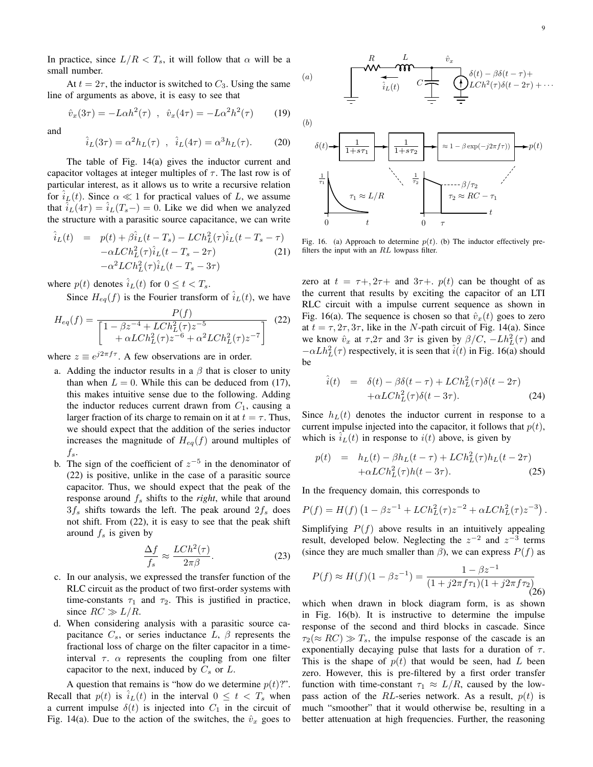In practice, since  $L/R < T_s$ , it will follow that  $\alpha$  will be a small number.

At  $t = 2\tau$ , the inductor is switched to  $C_3$ . Using the same line of arguments as above, it is easy to see that

$$
\hat{v}_x(3\tau) = -L\alpha h^2(\tau) , \quad \hat{v}_x(4\tau) = -L\alpha^2 h^2(\tau) \tag{19}
$$

and

$$
\hat{i}_L(3\tau) = \alpha^2 h_L(\tau) , \quad \hat{i}_L(4\tau) = \alpha^3 h_L(\tau). \tag{20}
$$

The table of Fig. 14(a) gives the inductor current and capacitor voltages at integer multiples of  $\tau$ . The last row is of particular interest, as it allows us to write a recursive relation for  $i_L(t)$ . Since  $\alpha \ll 1$  for practical values of L, we assume that  $i_L(4\tau) = i_L(T_s-) = 0$ . Like we did when we analyzed the structure with a parasitic source capacitance, we can write

$$
\hat{i}_L(t) = p(t) + \beta \hat{i}_L(t - T_s) - L Ch_L^2(\tau) \hat{i}_L(t - T_s - \tau) \n- \alpha L Ch_L^2(\tau) \hat{i}_L(t - T_s - 2\tau) \tag{21} \n- \alpha^2 L Ch_L^2(\tau) \hat{i}_L(t - T_s - 3\tau)
$$

where  $p(t)$  denotes  $\hat{i}_L(t)$  for  $0 \le t < T_s$ .

Since  $H_{eq}(f)$  is the Fourier transform of  $\hat{i}_L(t)$ , we have

$$
H_{eq}(f) = \frac{P(f)}{\left[1 - \beta z^{-4} + L Ch_L^2(\tau)z^{-5} + \alpha^2 L Ch_L^2(\tau)z^{-6} + \alpha^2 L Ch_L^2(\tau)z^{-7}\right]} \tag{22}
$$

where  $z \equiv e^{j2\pi f \tau}$ . A few observations are in order.

- a. Adding the inductor results in a  $\beta$  that is closer to unity than when  $L = 0$ . While this can be deduced from (17), this makes intuitive sense due to the following. Adding the inductor reduces current drawn from  $C_1$ , causing a larger fraction of its charge to remain on it at  $t = \tau$ . Thus, we should expect that the addition of the series inductor increases the magnitude of  $H_{eq}(f)$  around multiples of  $f_s$ .
- b. The sign of the coefficient of  $z^{-5}$  in the denominator of (22) is positive, unlike in the case of a parasitic source capacitor. Thus, we should expect that the peak of the response around  $f_s$  shifts to the *right*, while that around  $3f_s$  shifts towards the left. The peak around  $2f_s$  does not shift. From (22), it is easy to see that the peak shift around  $f_s$  is given by

$$
\frac{\Delta f}{f_s} \approx \frac{L Ch^2(\tau)}{2\pi \beta}.
$$
\n(23)

- c. In our analysis, we expressed the transfer function of the RLC circuit as the product of two first-order systems with time-constants  $\tau_1$  and  $\tau_2$ . This is justified in practice, since  $RC \gg L/R$ .
- d. When considering analysis with a parasitic source capacitance  $C_s$ , or series inductance L,  $\beta$  represents the fractional loss of charge on the filter capacitor in a timeinterval  $\tau$ .  $\alpha$  represents the coupling from one filter capacitor to the next, induced by  $C_s$  or  $L$ .

A question that remains is "how do we determine  $p(t)$ ". Recall that  $p(t)$  is  $i<sub>L</sub>(t)$  in the interval  $0 \le t < T_s$  when a current impulse  $\delta(t)$  is injected into  $C_1$  in the circuit of Fig. 14(a). Due to the action of the switches, the  $\hat{v}_x$  goes to



Fig. 16. (a) Approach to determine  $p(t)$ . (b) The inductor effectively prefilters the input with an RL lowpass filter.

zero at  $t = \tau + 0.2\tau + 0.3\tau + 0.5\tau + 0.5\tau$  can be thought of as the current that results by exciting the capacitor of an LTI RLC circuit with a impulse current sequence as shown in Fig. 16(a). The sequence is chosen so that  $\hat{v}_x(t)$  goes to zero at  $t = \tau, 2\tau, 3\tau$ , like in the N-path circuit of Fig. 14(a). Since we know  $\hat{v}_x$  at  $\tau$ ,  $2\tau$  and  $3\tau$  is given by  $\beta/C$ ,  $-Lh_L^2(\tau)$  and  $-\alpha L h_L^2(\tau)$  respectively, it is seen that  $\hat{i}(t)$  in Fig. 16(a) should be

$$
\hat{i}(t) = \delta(t) - \beta \delta(t - \tau) + L Ch_L^2(\tau) \delta(t - 2\tau) \n+ \alpha L Ch_L^2(\tau) \delta(t - 3\tau).
$$
\n(24)

Since  $h<sub>L</sub>(t)$  denotes the inductor current in response to a current impulse injected into the capacitor, it follows that  $p(t)$ , which is  $i<sub>L</sub>(t)$  in response to  $i(t)$  above, is given by

$$
p(t) = h_L(t) - \beta h_L(t - \tau) + L Ch_L^2(\tau)h_L(t - 2\tau) + \alpha L Ch_L^2(\tau)h(t - 3\tau).
$$
 (25)

In the frequency domain, this corresponds to

$$
P(f) = H(f) \left(1 - \beta z^{-1} + L Ch_L^2(\tau) z^{-2} + \alpha L Ch_L^2(\tau) z^{-3}\right).
$$

Simplifying  $P(f)$  above results in an intuitively appealing result, developed below. Neglecting the  $z^{-2}$  and  $z^{-3}$  terms (since they are much smaller than  $\beta$ ), we can express  $P(f)$  as

$$
P(f) \approx H(f)(1 - \beta z^{-1}) = \frac{1 - \beta z^{-1}}{(1 + j2\pi f \tau_1)(1 + j2\pi f \tau_2)}
$$
(26)

which when drawn in block diagram form, is as shown in Fig. 16(b). It is instructive to determine the impulse response of the second and third blocks in cascade. Since  $\tau_2(\approx RC) \gg T_s$ , the impulse response of the cascade is an exponentially decaying pulse that lasts for a duration of  $\tau$ . This is the shape of  $p(t)$  that would be seen, had L been zero. However, this is pre-filtered by a first order transfer function with time-constant  $\tau_1 \approx L/R$ , caused by the lowpass action of the RL-series network. As a result,  $p(t)$  is much "smoother" that it would otherwise be, resulting in a better attenuation at high frequencies. Further, the reasoning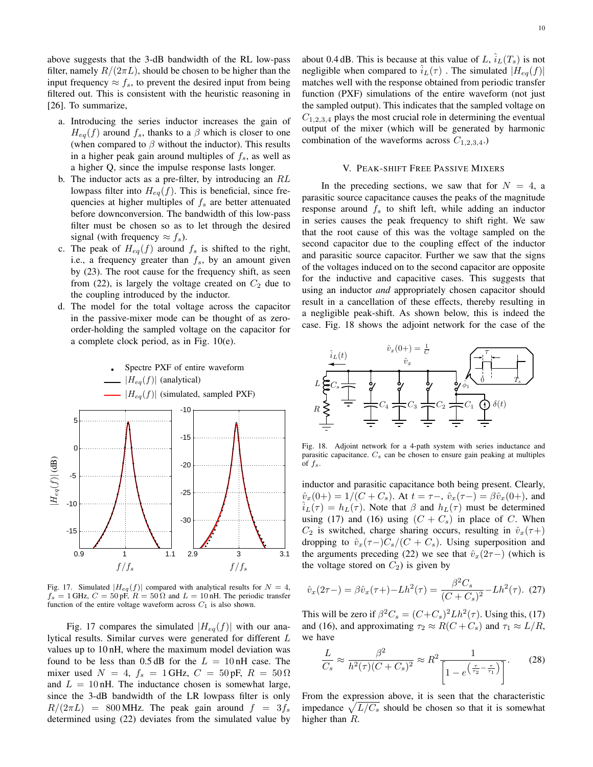above suggests that the 3-dB bandwidth of the RL low-pass filter, namely  $R/(2\pi L)$ , should be chosen to be higher than the input frequency  $\approx f_s$ , to prevent the desired input from being filtered out. This is consistent with the heuristic reasoning in [26]. To summarize,

- a. Introducing the series inductor increases the gain of  $H_{eq}(f)$  around  $f_s$ , thanks to a  $\beta$  which is closer to one (when compared to  $\beta$  without the inductor). This results in a higher peak gain around multiples of  $f_s$ , as well as a higher Q, since the impulse response lasts longer.
- b. The inductor acts as a pre-filter, by introducing an RL lowpass filter into  $H_{eq}(f)$ . This is beneficial, since frequencies at higher multiples of  $f_s$  are better attenuated before downconversion. The bandwidth of this low-pass filter must be chosen so as to let through the desired signal (with frequency  $\approx f_s$ ).
- c. The peak of  $H_{eq}(f)$  around  $f_s$  is shifted to the right, i.e., a frequency greater than  $f_s$ , by an amount given by (23). The root cause for the frequency shift, as seen from (22), is largely the voltage created on  $C_2$  due to the coupling introduced by the inductor.
- d. The model for the total voltage across the capacitor in the passive-mixer mode can be thought of as zeroorder-holding the sampled voltage on the capacitor for a complete clock period, as in Fig. 10(e).



Fig. 17. Simulated  $|H_{eq}(f)|$  compared with analytical results for  $N = 4$ ,  $f_s = 1$  GHz,  $C = 50$  pF,  $R = 50 \Omega$  and  $L = 10$  nH. The periodic transfer function of the entire voltage waveform across  $C_1$  is also shown.

Fig. 17 compares the simulated  $|H_{eq}(f)|$  with our analytical results. Similar curves were generated for different L values up to 10 nH, where the maximum model deviation was found to be less than  $0.5$  dB for the  $L = 10$  nH case. The mixer used  $N = 4$ ,  $f_s = 1$  GHz,  $C = 50$  pF,  $R = 50 \Omega$ and  $L = 10$  nH. The inductance chosen is somewhat large, since the 3-dB bandwidth of the LR lowpass filter is only  $R/(2\pi L)$  = 800 MHz. The peak gain around  $f = 3f_s$ determined using (22) deviates from the simulated value by 10

about 0.4 dB. This is because at this value of L,  $\hat{i}_L(T_s)$  is not negligible when compared to  $i_L(\tau)$ . The simulated  $|H_{eq}(f)|$ matches well with the response obtained from periodic transfer function (PXF) simulations of the entire waveform (not just the sampled output). This indicates that the sampled voltage on  $C_{1,2,3,4}$  plays the most crucial role in determining the eventual output of the mixer (which will be generated by harmonic combination of the waveforms across  $C_{1,2,3,4}$ .

#### V. PEAK-SHIFT FREE PASSIVE MIXERS

In the preceding sections, we saw that for  $N = 4$ , a parasitic source capacitance causes the peaks of the magnitude response around  $f_s$  to shift left, while adding an inductor in series causes the peak frequency to shift right. We saw that the root cause of this was the voltage sampled on the second capacitor due to the coupling effect of the inductor and parasitic source capacitor. Further we saw that the signs of the voltages induced on to the second capacitor are opposite for the inductive and capacitive cases. This suggests that using an inductor *and* appropriately chosen capacitor should result in a cancellation of these effects, thereby resulting in a negligible peak-shift. As shown below, this is indeed the case. Fig. 18 shows the adjoint network for the case of the



Fig. 18. Adjoint network for a 4-path system with series inductance and parasitic capacitance.  $C_s$  can be chosen to ensure gain peaking at multiples of  $f_s$ .

inductor and parasitic capacitance both being present. Clearly,  $\hat{v}_x(0+) = 1/(C + C_s)$ . At  $t = \tau - \hat{v}_x(\tau - \hat{v}_x(0)) = \beta \hat{v}_x(0)$ , and  $\hat{i}_L(\tau) = h_L(\tau)$ . Note that  $\beta$  and  $h_L(\tau)$  must be determined using (17) and (16) using  $(C + C_s)$  in place of C. When  $C_2$  is switched, charge sharing occurs, resulting in  $\hat{v}_x(\tau+)$ dropping to  $\hat{v}_x(\tau-)C_s/(C+C_s)$ . Using superposition and the arguments preceding (22) we see that  $\hat{v}_x(2\tau-)$  (which is the voltage stored on  $C_2$ ) is given by

$$
\hat{v}_x(2\tau-) = \beta \hat{v}_x(\tau+) - Lh^2(\tau) = \frac{\beta^2 C_s}{(C + C_s)^2} - Lh^2(\tau). \tag{27}
$$

This will be zero if  $\beta^2 C_s = (C + C_s)^2 L h^2(\tau)$ . Using this, (17) and (16), and approximating  $\tau_2 \approx R(C+C_s)$  and  $\tau_1 \approx L/R$ , we have

$$
\frac{L}{C_s} \approx \frac{\beta^2}{h^2(\tau)(C + C_s)^2} \approx R^2 \frac{1}{\left[1 - e^{\left(\frac{\tau}{\tau_2} - \frac{\tau}{\tau_1}\right)}\right]}.\tag{28}
$$

From the expression above, it is seen that the characteristic impedance  $\sqrt{L/C_s}$  should be chosen so that it is somewhat higher than R.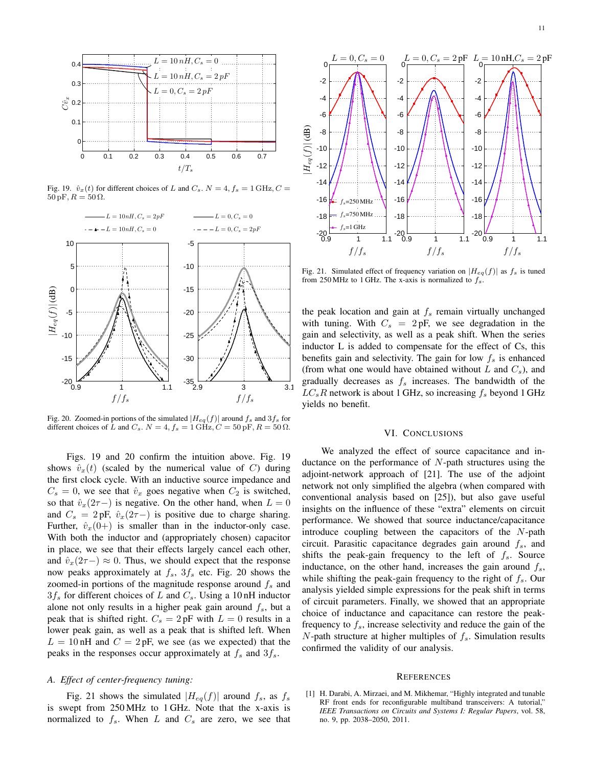

Fig. 19.  $\hat{v}_x(t)$  for different choices of L and  $C_s$ .  $N = 4$ ,  $f_s = 1$  GHz,  $C =$  $50 \,\mathrm{pF}, R = 50 \,\Omega.$ 



Fig. 20. Zoomed-in portions of the simulated  $|H_{eq}(f)|$  around  $f_s$  and  $3f_s$  for different choices of L and  $C_s$ .  $N = 4$ ,  $f_s = 1$  GHz,  $C = 50$  pF,  $R = 50 \Omega$ .

Figs. 19 and 20 confirm the intuition above. Fig. 19 shows  $\hat{v}_x(t)$  (scaled by the numerical value of C) during the first clock cycle. With an inductive source impedance and  $C_s = 0$ , we see that  $\hat{v}_x$  goes negative when  $C_2$  is switched, so that  $\hat{v}_x(2\tau-)$  is negative. On the other hand, when  $L = 0$ and  $C_s = 2pF, \hat{v}_x(2\tau-)$  is positive due to charge sharing. Further,  $\hat{v}_x(0+)$  is smaller than in the inductor-only case. With both the inductor and (appropriately chosen) capacitor in place, we see that their effects largely cancel each other, and  $\hat{v}_x(2\tau-) \approx 0$ . Thus, we should expect that the response now peaks approximately at  $f_s$ ,  $3f_s$  etc. Fig. 20 shows the zoomed-in portions of the magnitude response around  $f_s$  and  $3f_s$  for different choices of L and  $C_s$ . Using a 10 nH inductor alone not only results in a higher peak gain around  $f_s$ , but a peak that is shifted right.  $C_s = 2pF$  with  $L = 0$  results in a lower peak gain, as well as a peak that is shifted left. When  $L = 10$  nH and  $C = 2$  pF, we see (as we expected) that the peaks in the responses occur approximately at  $f_s$  and  $3f_s$ .

## *A. Effect of center-frequency tuning:*

Fig. 21 shows the simulated  $|H_{eq}(f)|$  around  $f_s$ , as  $f_s$ is swept from 250 MHz to 1 GHz. Note that the x-axis is normalized to  $f_s$ . When L and  $C_s$  are zero, we see that



Fig. 21. Simulated effect of frequency variation on  $|H_{eq}(f)|$  as  $f_s$  is tuned from 250 MHz to 1 GHz. The x-axis is normalized to  $f_s$ .

the peak location and gain at  $f_s$  remain virtually unchanged with tuning. With  $C_s = 2pF$ , we see degradation in the gain and selectivity, as well as a peak shift. When the series inductor L is added to compensate for the effect of Cs, this benefits gain and selectivity. The gain for low  $f_s$  is enhanced (from what one would have obtained without L and  $C_s$ ), and gradually decreases as  $f_s$  increases. The bandwidth of the  $LC_sR$  network is about 1 GHz, so increasing  $f_s$  beyond 1 GHz yields no benefit.

# VI. CONCLUSIONS

We analyzed the effect of source capacitance and inductance on the performance of  $N$ -path structures using the adjoint-network approach of [21]. The use of the adjoint network not only simplified the algebra (when compared with conventional analysis based on [25]), but also gave useful insights on the influence of these "extra" elements on circuit performance. We showed that source inductance/capacitance introduce coupling between the capacitors of the N-path circuit. Parasitic capacitance degrades gain around  $f_s$ , and shifts the peak-gain frequency to the left of  $f_s$ . Source inductance, on the other hand, increases the gain around  $f_s$ , while shifting the peak-gain frequency to the right of  $f_s$ . Our analysis yielded simple expressions for the peak shift in terms of circuit parameters. Finally, we showed that an appropriate choice of inductance and capacitance can restore the peakfrequency to  $f_s$ , increase selectivity and reduce the gain of the N-path structure at higher multiples of  $f_s$ . Simulation results confirmed the validity of our analysis.

#### **REFERENCES**

[1] H. Darabi, A. Mirzaei, and M. Mikhemar, "Highly integrated and tunable RF front ends for reconfigurable multiband transceivers: A tutorial," *IEEE Transactions on Circuits and Systems I: Regular Papers*, vol. 58, no. 9, pp. 2038–2050, 2011.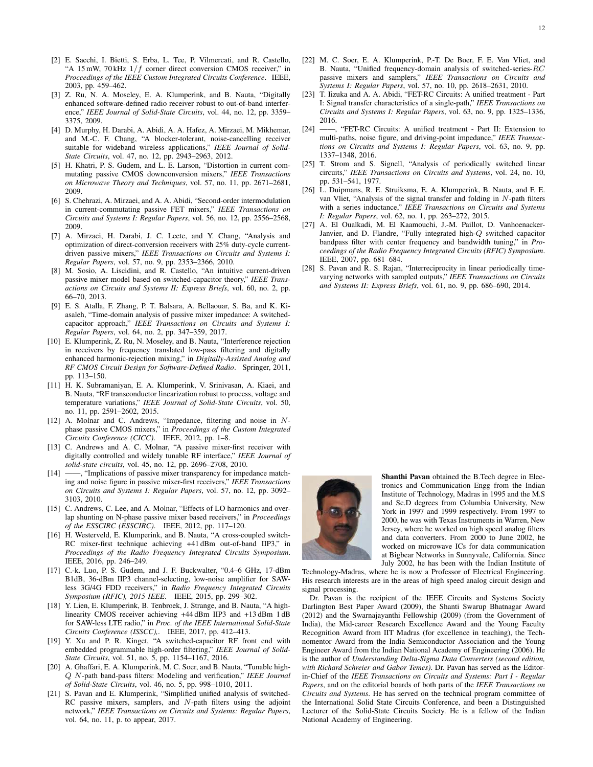- [2] E. Sacchi, I. Bietti, S. Erba, L. Tee, P. Vilmercati, and R. Castello, "A 15 mW, 70 kHz  $1/f$  corner direct conversion CMOS receiver," in *Proceedings of the IEEE Custom Integrated Circuits Conference*. IEEE, 2003, pp. 459–462.
- [3] Z. Ru, N. A. Moseley, E. A. Klumperink, and B. Nauta, "Digitally enhanced software-defined radio receiver robust to out-of-band interference," *IEEE Journal of Solid-State Circuits*, vol. 44, no. 12, pp. 3359– 3375, 2009.
- [4] D. Murphy, H. Darabi, A. Abidi, A. A. Hafez, A. Mirzaei, M. Mikhemar, and M.-C. F. Chang, "A blocker-tolerant, noise-cancelling receiver suitable for wideband wireless applications," *IEEE Journal of Solid-State Circuits*, vol. 47, no. 12, pp. 2943–2963, 2012.
- [5] H. Khatri, P. S. Gudem, and L. E. Larson, "Distortion in current commutating passive CMOS downconversion mixers," *IEEE Transactions on Microwave Theory and Techniques*, vol. 57, no. 11, pp. 2671–2681, 2009.
- [6] S. Chehrazi, A. Mirzaei, and A. A. Abidi, "Second-order intermodulation in current-commutating passive FET mixers," *IEEE Transactions on Circuits and Systems I: Regular Papers*, vol. 56, no. 12, pp. 2556–2568, 2009.
- [7] A. Mirzaei, H. Darabi, J. C. Leete, and Y. Chang, "Analysis and optimization of direct-conversion receivers with 25% duty-cycle currentdriven passive mixers," *IEEE Transactions on Circuits and Systems I: Regular Papers*, vol. 57, no. 9, pp. 2353–2366, 2010.
- [8] M. Sosio, A. Liscidini, and R. Castello, "An intuitive current-driven passive mixer model based on switched-capacitor theory," *IEEE Transactions on Circuits and Systems II: Express Briefs*, vol. 60, no. 2, pp. 66–70, 2013.
- [9] E. S. Atalla, F. Zhang, P. T. Balsara, A. Bellaouar, S. Ba, and K. Kiasaleh, "Time-domain analysis of passive mixer impedance: A switchedcapacitor approach," *IEEE Transactions on Circuits and Systems I: Regular Papers*, vol. 64, no. 2, pp. 347–359, 2017.
- [10] E. Klumperink, Z. Ru, N. Moseley, and B. Nauta, "Interference rejection in receivers by frequency translated low-pass filtering and digitally enhanced harmonic-rejection mixing," in *Digitally-Assisted Analog and RF CMOS Circuit Design for Software-Defined Radio*. Springer, 2011, pp. 113–150.
- [11] H. K. Subramaniyan, E. A. Klumperink, V. Srinivasan, A. Kiaei, and B. Nauta, "RF transconductor linearization robust to process, voltage and temperature variations," *IEEE Journal of Solid-State Circuits*, vol. 50, no. 11, pp. 2591–2602, 2015.
- [12] A. Molnar and C. Andrews, "Impedance, filtering and noise in Nphase passive CMOS mixers," in *Proceedings of the Custom Integrated Circuits Conference (CICC)*. IEEE, 2012, pp. 1–8.
- [13] C. Andrews and A. C. Molnar, "A passive mixer-first receiver with digitally controlled and widely tunable RF interface," *IEEE Journal of solid-state circuits*, vol. 45, no. 12, pp. 2696–2708, 2010.
- [14] ——, "Implications of passive mixer transparency for impedance matching and noise figure in passive mixer-first receivers," *IEEE Transactions on Circuits and Systems I: Regular Papers*, vol. 57, no. 12, pp. 3092– 3103, 2010.
- [15] C. Andrews, C. Lee, and A. Molnar, "Effects of LO harmonics and overlap shunting on N-phase passive mixer based receivers," in *Proceedings of the ESSCIRC (ESSCIRC)*. IEEE, 2012, pp. 117–120.
- [16] H. Westerveld, E. Klumperink, and B. Nauta, "A cross-coupled switch-RC mixer-first technique achieving +41 dBm out-of-band IIP3," in *Proceedings of the Radio Frequency Integrated Circuits Symposium*. IEEE, 2016, pp. 246–249.
- [17] C.-k. Luo, P. S. Gudem, and J. F. Buckwalter, "0.4–6 GHz, 17-dBm B1dB, 36-dBm IIP3 channel-selecting, low-noise amplifier for SAWless 3G/4G FDD receivers," in *Radio Frequency Integrated Circuits Symposium (RFIC), 2015 IEEE*. IEEE, 2015, pp. 299–302.
- [18] Y. Lien, E. Klumperink, B. Tenbroek, J. Strange, and B. Nauta, "A highlinearity CMOS receiver achieving +44 dBm IIP3 and +13 dBm 1 dB for SAW-less LTE radio," in *Proc. of the IEEE International Solid-State Circuits Conference (ISSCC),*. IEEE, 2017, pp. 412–413.
- [19] Y. Xu and P. R. Kinget, "A switched-capacitor RF front end with embedded programmable high-order filtering," *IEEE Journal of Solid-State Circuits*, vol. 51, no. 5, pp. 1154–1167, 2016.
- [20] A. Ghaffari, E. A. Klumperink, M. C. Soer, and B. Nauta, "Tunable high-Q N-path band-pass filters: Modeling and verification," *IEEE Journal of Solid-State Circuits*, vol. 46, no. 5, pp. 998–1010, 2011.
- [21] S. Pavan and E. Klumperink, "Simplified unified analysis of switched-RC passive mixers, samplers, and N-path filters using the adjoint network," *IEEE Transactions on Circuits and Systems: Regular Papers*, vol. 64, no. 11, p. to appear, 2017.
- [22] M. C. Soer, E. A. Klumperink, P.-T. De Boer, F. E. Van Vliet, and B. Nauta, "Unified frequency-domain analysis of switched-series-RC passive mixers and samplers," *IEEE Transactions on Circuits and Systems I: Regular Papers*, vol. 57, no. 10, pp. 2618–2631, 2010.
- [23] T. Iizuka and A. A. Abidi, "FET-RC Circuits: A unified treatment Part I: Signal transfer characteristics of a single-path," *IEEE Transactions on Circuits and Systems I: Regular Papers*, vol. 63, no. 9, pp. 1325–1336, 2016.
- [24] ——, "FET-RC Circuits: A unified treatment Part II: Extension to multi-paths, noise figure, and driving-point impedance," *IEEE Transactions on Circuits and Systems I: Regular Papers*, vol. 63, no. 9, pp. 1337–1348, 2016.
- [25] T. Strom and S. Signell, "Analysis of periodically switched linear circuits," *IEEE Transactions on Circuits and Systems*, vol. 24, no. 10, pp. 531–541, 1977.
- [26] L. Duipmans, R. E. Struiksma, E. A. Klumperink, B. Nauta, and F. E. van Vliet, "Analysis of the signal transfer and folding in N-path filters with a series inductance," *IEEE Transactions on Circuits and Systems I: Regular Papers*, vol. 62, no. 1, pp. 263–272, 2015.
- [27] A. El Oualkadi, M. El Kaamouchi, J.-M. Paillot, D. Vanhoenacker-Janvier, and D. Flandre, "Fully integrated high-Q switched capacitor bandpass filter with center frequency and bandwidth tuning," in *Proceedings of the Radio Frequency Integrated Circuits (RFIC) Symposium*. IEEE, 2007, pp. 681–684.
- [28] S. Pavan and R. S. Rajan, "Interreciprocity in linear periodically timevarying networks with sampled outputs," *IEEE Transactions on Circuits and Systems II: Express Briefs*, vol. 61, no. 9, pp. 686–690, 2014.



Shanthi Pavan obtained the B.Tech degree in Electronics and Communication Engg from the Indian Institute of Technology, Madras in 1995 and the M.S and Sc.D degrees from Columbia University, New York in 1997 and 1999 respectively. From 1997 to 2000, he was with Texas Instruments in Warren, New Jersey, where he worked on high speed analog filters and data converters. From 2000 to June 2002, he worked on microwave ICs for data communication at Bigbear Networks in Sunnyvale, California. Since July 2002, he has been with the Indian Institute of

Technology-Madras, where he is now a Professor of Electrical Engineering. His research interests are in the areas of high speed analog circuit design and signal processing.

Dr. Pavan is the recipient of the IEEE Circuits and Systems Society Darlington Best Paper Award (2009), the Shanti Swarup Bhatnagar Award (2012) and the Swarnajayanthi Fellowship (2009) (from the Government of India), the Mid-career Research Excellence Award and the Young Faculty Recognition Award from IIT Madras (for excellence in teaching), the Technomentor Award from the India Semiconductor Association and the Young Engineer Award from the Indian National Academy of Engineering (2006). He is the author of *Understanding Delta-Sigma Data Converters (second edition, with Richard Schreier and Gabor Temes)*. Dr. Pavan has served as the Editorin-Chief of the *IEEE Transactions on Circuits and Systems: Part I - Regular Papers*, and on the editorial boards of both parts of the *IEEE Transactions on Circuits and Systems*. He has served on the technical program committee of the International Solid State Circuits Conference, and been a Distinguished Lecturer of the Solid-State Circuits Society. He is a fellow of the Indian National Academy of Engineering.